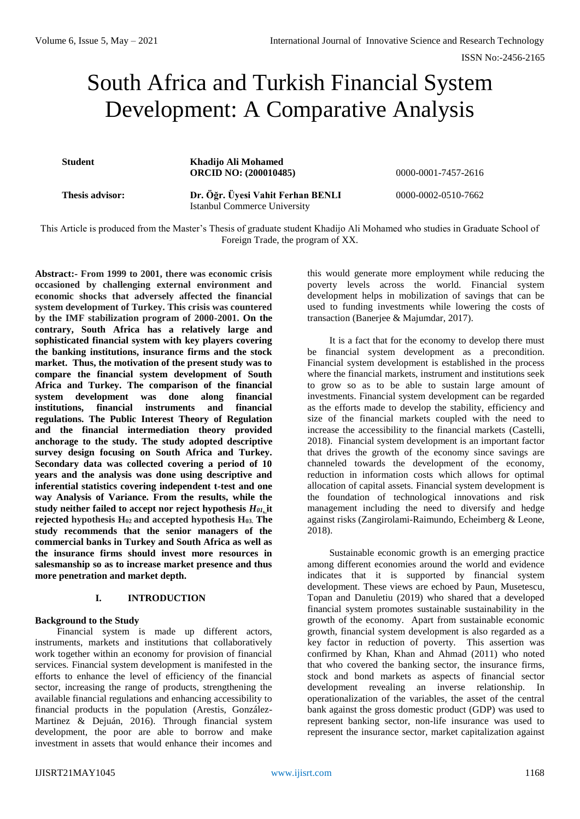# South Africa and Turkish Financial System Development: A Comparative Analysis

**Student Khadijo Ali Mohamed ORCID NO: (200010485)** 0000-0001-7457-2616

**Thesis advisor: Dr. Öğr. Üyesi Vahit Ferhan BENLI** Istanbul Commerce University

0000-0002-0510-7662

This Article is produced from the Master's Thesis of graduate student Khadijo Ali Mohamed who studies in Graduate School of Foreign Trade, the program of XX.

**Abstract:- From 1999 to 2001, there was economic crisis occasioned by challenging external environment and economic shocks that adversely affected the financial system development of Turkey. This crisis was countered by the IMF stabilization program of 2000-2001. On the contrary, South Africa has a relatively large and sophisticated financial system with key players covering the banking institutions, insurance firms and the stock market. Thus, the motivation of the present study was to compare the financial system development of South Africa and Turkey. The comparison of the financial system development was done along financial institutions, financial instruments and financial regulations. The Public Interest Theory of Regulation and the financial intermediation theory provided anchorage to the study. The study adopted descriptive survey design focusing on South Africa and Turkey. Secondary data was collected covering a period of 10 years and the analysis was done using descriptive and inferential statistics covering independent t-test and one way Analysis of Variance. From the results, while the study neither failed to accept nor reject hypothesis** *H01***, it rejected hypothesis H02 and accepted hypothesis H03. The study recommends that the senior managers of the commercial banks in Turkey and South Africa as well as the insurance firms should invest more resources in salesmanship so as to increase market presence and thus more penetration and market depth.**

## **I. INTRODUCTION**

#### **Background to the Study**

Financial system is made up different actors, instruments, markets and institutions that collaboratively work together within an economy for provision of financial services. Financial system development is manifested in the efforts to enhance the level of efficiency of the financial sector, increasing the range of products, strengthening the available financial regulations and enhancing accessibility to financial products in the population (Arestis, González-Martinez & Dejuán, 2016). Through financial system development, the poor are able to borrow and make investment in assets that would enhance their incomes and

this would generate more employment while reducing the poverty levels across the world. Financial system development helps in mobilization of savings that can be used to funding investments while lowering the costs of transaction (Banerjee & Majumdar, 2017).

It is a fact that for the economy to develop there must be financial system development as a precondition. Financial system development is established in the process where the financial markets, instrument and institutions seek to grow so as to be able to sustain large amount of investments. Financial system development can be regarded as the efforts made to develop the stability, efficiency and size of the financial markets coupled with the need to increase the accessibility to the financial markets (Castelli, 2018). Financial system development is an important factor that drives the growth of the economy since savings are channeled towards the development of the economy, reduction in information costs which allows for optimal allocation of capital assets. Financial system development is the foundation of technological innovations and risk management including the need to diversify and hedge against risks (Zangirolami-Raimundo, Echeimberg & Leone, 2018).

Sustainable economic growth is an emerging practice among different economies around the world and evidence indicates that it is supported by financial system development. These views are echoed by Paun, Musetescu, Topan and Danuletiu (2019) who shared that a developed financial system promotes sustainable sustainability in the growth of the economy. Apart from sustainable economic growth, financial system development is also regarded as a key factor in reduction of poverty. This assertion was confirmed by Khan, Khan and Ahmad (2011) who noted that who covered the banking sector, the insurance firms, stock and bond markets as aspects of financial sector development revealing an inverse relationship. In operationalization of the variables, the asset of the central bank against the gross domestic product (GDP) was used to represent banking sector, non-life insurance was used to represent the insurance sector, market capitalization against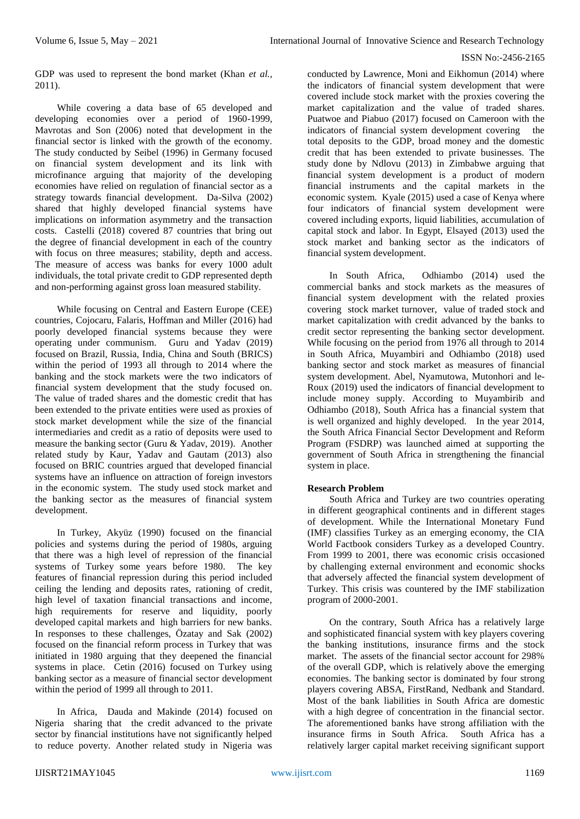GDP was used to represent the bond market (Khan *et al.,* 2011).

While covering a data base of 65 developed and developing economies over a period of 1960-1999, Mavrotas and Son (2006) noted that development in the financial sector is linked with the growth of the economy. The study conducted by Seibel (1996) in Germany focused on financial system development and its link with microfinance arguing that majority of the developing economies have relied on regulation of financial sector as a strategy towards financial development. Da-Silva (2002) shared that highly developed financial systems have implications on information asymmetry and the transaction costs. Castelli (2018) covered 87 countries that bring out the degree of financial development in each of the country with focus on three measures; stability, depth and access. The measure of access was banks for every 1000 adult individuals, the total private credit to GDP represented depth and non-performing against gross loan measured stability.

While focusing on Central and Eastern Europe (CEE) countries, Cojocaru, Falaris, Hoffman and Miller (2016) had poorly developed financial systems because they were operating under communism. Guru and Yadav (2019) focused on Brazil, Russia, India, China and South (BRICS) within the period of 1993 all through to 2014 where the banking and the stock markets were the two indicators of financial system development that the study focused on. The value of traded shares and the domestic credit that has been extended to the private entities were used as proxies of stock market development while the size of the financial intermediaries and credit as a ratio of deposits were used to measure the banking sector (Guru & Yadav, 2019). Another related study by Kaur, Yadav and Gautam (2013) also focused on BRIC countries argued that developed financial systems have an influence on attraction of foreign investors in the economic system. The study used stock market and the banking sector as the measures of financial system development.

In Turkey, Akyüz (1990) focused on the financial policies and systems during the period of 1980s, arguing that there was a high level of repression of the financial systems of Turkey some years before 1980. The key features of financial repression during this period included ceiling the lending and deposits rates, rationing of credit, high level of taxation financial transactions and income, high requirements for reserve and liquidity, poorly developed capital markets and high barriers for new banks. In responses to these challenges, Özatay and Sak (2002) focused on the financial reform process in Turkey that was initiated in 1980 arguing that they deepened the financial systems in place. Cetin (2016) focused on Turkey using banking sector as a measure of financial sector development within the period of 1999 all through to 2011.

In Africa, Dauda and Makinde (2014) focused on Nigeria sharing that the credit advanced to the private sector by financial institutions have not significantly helped to reduce poverty. Another related study in Nigeria was

conducted by Lawrence, Moni and Eikhomun (2014) where the indicators of financial system development that were covered include stock market with the proxies covering the market capitalization and the value of traded shares. Puatwoe and Piabuo (2017) focused on Cameroon with the indicators of financial system development covering the total deposits to the GDP, broad money and the domestic credit that has been extended to private businesses. The study done by Ndlovu (2013) in Zimbabwe arguing that financial system development is a product of modern financial instruments and the capital markets in the economic system. Kyale (2015) used a case of Kenya where four indicators of financial system development were covered including exports, liquid liabilities, accumulation of capital stock and labor. In Egypt, Elsayed (2013) used the stock market and banking sector as the indicators of financial system development.

In South Africa, Odhiambo (2014) used the commercial banks and stock markets as the measures of financial system development with the related proxies covering stock market turnover, value of traded stock and market capitalization with credit advanced by the banks to credit sector representing the banking sector development. While focusing on the period from 1976 all through to 2014 in South Africa, Muyambiri and Odhiambo (2018) used banking sector and stock market as measures of financial system development. Abel, Nyamutowa, Mutonhori and le-Roux (2019) used the indicators of financial development to include money supply. According to Muyambirib and Odhiambo (2018), South Africa has a financial system that is well organized and highly developed. In the year 2014, the South Africa Financial Sector Development and Reform Program (FSDRP) was launched aimed at supporting the government of South Africa in strengthening the financial system in place.

## **Research Problem**

South Africa and Turkey are two countries operating in different geographical continents and in different stages of development. While the International Monetary Fund (IMF) classifies Turkey as an emerging economy, the CIA World Factbook considers Turkey as a developed Country. From 1999 to 2001, there was economic crisis occasioned by challenging external environment and economic shocks that adversely affected the financial system development of Turkey. This crisis was countered by the IMF stabilization program of 2000-2001.

On the contrary, South Africa has a relatively large and sophisticated financial system with key players covering the banking institutions, insurance firms and the stock market. The assets of the financial sector account for 298% of the overall GDP, which is relatively above the emerging economies. The banking sector is dominated by four strong players covering ABSA, FirstRand, Nedbank and Standard. Most of the bank liabilities in South Africa are domestic with a high degree of concentration in the financial sector. The aforementioned banks have strong affiliation with the insurance firms in South Africa. South Africa has a relatively larger capital market receiving significant support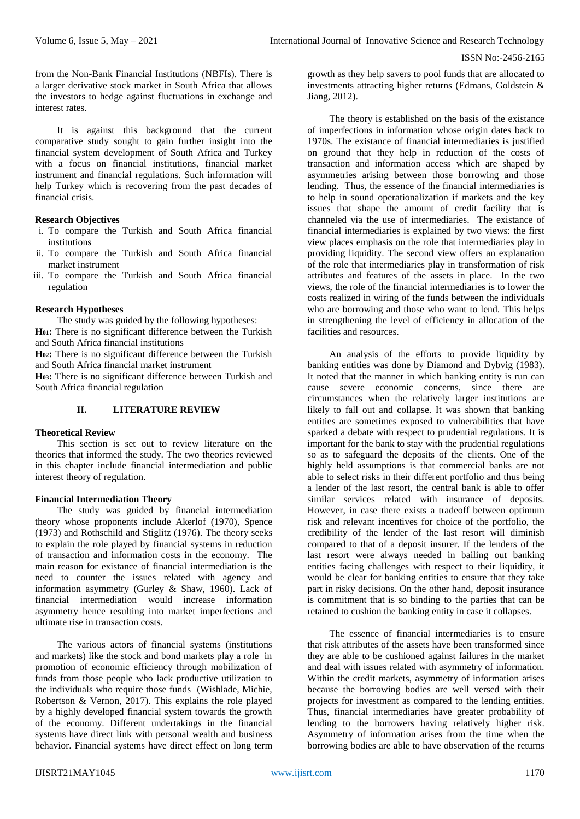from the Non-Bank Financial Institutions (NBFIs). There is a larger derivative stock market in South Africa that allows the investors to hedge against fluctuations in exchange and interest rates.

It is against this background that the current comparative study sought to gain further insight into the financial system development of South Africa and Turkey with a focus on financial institutions, financial market instrument and financial regulations. Such information will help Turkey which is recovering from the past decades of financial crisis.

## **Research Objectives**

- i. To compare the Turkish and South Africa financial institutions
- ii. To compare the Turkish and South Africa financial market instrument
- iii. To compare the Turkish and South Africa financial regulation

#### **Research Hypotheses**

The study was guided by the following hypotheses: **H01:** There is no significant difference between the Turkish and South Africa financial institutions

**H02:** There is no significant difference between the Turkish and South Africa financial market instrument

**H03:** There is no significant difference between Turkish and South Africa financial regulation

## **II. LITERATURE REVIEW**

## **Theoretical Review**

This section is set out to review literature on the theories that informed the study. The two theories reviewed in this chapter include financial intermediation and public interest theory of regulation.

#### **Financial Intermediation Theory**

The study was guided by financial intermediation theory whose proponents include Akerlof (1970), Spence (1973) and Rothschild and Stiglitz (1976). The theory seeks to explain the role played by financial systems in reduction of transaction and information costs in the economy. The main reason for existance of financial intermediation is the need to counter the issues related with agency and information asymmetry (Gurley & Shaw, 1960). Lack of financial intermediation would increase information asymmetry hence resulting into market imperfections and ultimate rise in transaction costs.

The various actors of financial systems (institutions and markets) like the stock and bond markets play a role in promotion of economic efficiency through mobilization of funds from those people who lack productive utilization to the individuals who require those funds (Wishlade, Michie, Robertson & Vernon, 2017). This explains the role played by a highly developed financial system towards the growth of the economy. Different undertakings in the financial systems have direct link with personal wealth and business behavior. Financial systems have direct effect on long term

growth as they help savers to pool funds that are allocated to investments attracting higher returns (Edmans, Goldstein & Jiang, 2012).

The theory is established on the basis of the existance of imperfections in information whose origin dates back to 1970s. The existance of financial intermediaries is justified on ground that they help in reduction of the costs of transaction and information access which are shaped by asymmetries arising between those borrowing and those lending. Thus, the essence of the financial intermediaries is to help in sound operationalization if markets and the key issues that shape the amount of credit facility that is channeled via the use of intermediaries. The existance of financial intermediaries is explained by two views: the first view places emphasis on the role that intermediaries play in providing liquidity. The second view offers an explanation of the role that intermediaries play in transformation of risk attributes and features of the assets in place. In the two views, the role of the financial intermediaries is to lower the costs realized in wiring of the funds between the individuals who are borrowing and those who want to lend. This helps in strengthening the level of efficiency in allocation of the facilities and resources.

An analysis of the efforts to provide liquidity by banking entities was done by Diamond and Dybvig (1983). It noted that the manner in which banking entity is run can cause severe economic concerns, since there are circumstances when the relatively larger institutions are likely to fall out and collapse. It was shown that banking entities are sometimes exposed to vulnerabilities that have sparked a debate with respect to prudential regulations. It is important for the bank to stay with the prudential regulations so as to safeguard the deposits of the clients. One of the highly held assumptions is that commercial banks are not able to select risks in their different portfolio and thus being a lender of the last resort, the central bank is able to offer similar services related with insurance of deposits. However, in case there exists a tradeoff between optimum risk and relevant incentives for choice of the portfolio, the credibility of the lender of the last resort will diminish compared to that of a deposit insurer. If the lenders of the last resort were always needed in bailing out banking entities facing challenges with respect to their liquidity, it would be clear for banking entities to ensure that they take part in risky decisions. On the other hand, deposit insurance is commitment that is so binding to the parties that can be retained to cushion the banking entity in case it collapses.

The essence of financial intermediaries is to ensure that risk attributes of the assets have been transformed since they are able to be cushioned against failures in the market and deal with issues related with asymmetry of information. Within the credit markets, asymmetry of information arises because the borrowing bodies are well versed with their projects for investment as compared to the lending entities. Thus, financial intermediaries have greater probability of lending to the borrowers having relatively higher risk. Asymmetry of information arises from the time when the borrowing bodies are able to have observation of the returns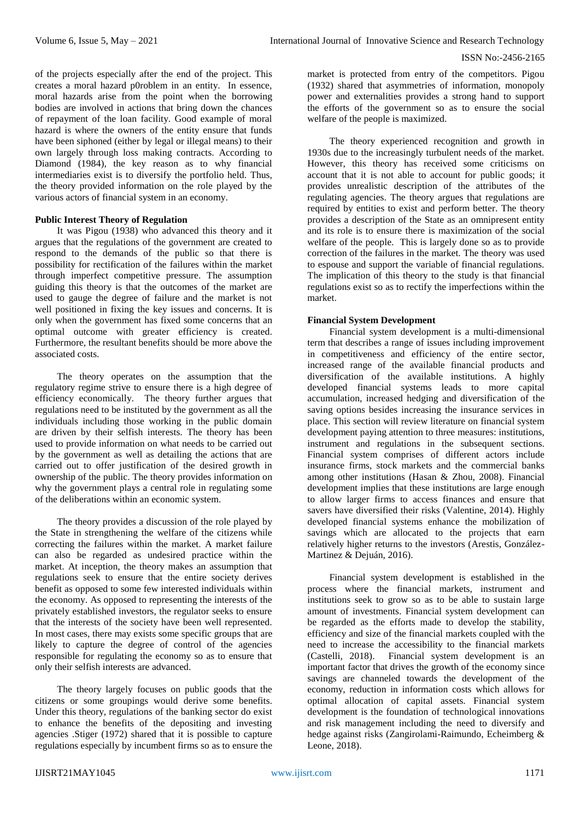of the projects especially after the end of the project. This creates a moral hazard p0roblem in an entity. In essence, moral hazards arise from the point when the borrowing bodies are involved in actions that bring down the chances of repayment of the loan facility. Good example of moral hazard is where the owners of the entity ensure that funds have been siphoned (either by legal or illegal means) to their own largely through loss making contracts. According to Diamond (1984), the key reason as to why financial intermediaries exist is to diversify the portfolio held. Thus, the theory provided information on the role played by the various actors of financial system in an economy.

#### **Public Interest Theory of Regulation**

It was Pigou (1938) who advanced this theory and it argues that the regulations of the government are created to respond to the demands of the public so that there is possibility for rectification of the failures within the market through imperfect competitive pressure. The assumption guiding this theory is that the outcomes of the market are used to gauge the degree of failure and the market is not well positioned in fixing the key issues and concerns. It is only when the government has fixed some concerns that an optimal outcome with greater efficiency is created. Furthermore, the resultant benefits should be more above the associated costs.

The theory operates on the assumption that the regulatory regime strive to ensure there is a high degree of efficiency economically. The theory further argues that regulations need to be instituted by the government as all the individuals including those working in the public domain are driven by their selfish interests. The theory has been used to provide information on what needs to be carried out by the government as well as detailing the actions that are carried out to offer justification of the desired growth in ownership of the public. The theory provides information on why the government plays a central role in regulating some of the deliberations within an economic system.

The theory provides a discussion of the role played by the State in strengthening the welfare of the citizens while correcting the failures within the market. A market failure can also be regarded as undesired practice within the market. At inception, the theory makes an assumption that regulations seek to ensure that the entire society derives benefit as opposed to some few interested individuals within the economy. As opposed to representing the interests of the privately established investors, the regulator seeks to ensure that the interests of the society have been well represented. In most cases, there may exists some specific groups that are likely to capture the degree of control of the agencies responsible for regulating the economy so as to ensure that only their selfish interests are advanced.

The theory largely focuses on public goods that the citizens or some groupings would derive some benefits. Under this theory, regulations of the banking sector do exist to enhance the benefits of the depositing and investing agencies .Stiger (1972) shared that it is possible to capture regulations especially by incumbent firms so as to ensure the

market is protected from entry of the competitors. Pigou (1932) shared that asymmetries of information, monopoly power and externalities provides a strong hand to support the efforts of the government so as to ensure the social welfare of the people is maximized.

The theory experienced recognition and growth in 1930s due to the increasingly turbulent needs of the market. However, this theory has received some criticisms on account that it is not able to account for public goods; it provides unrealistic description of the attributes of the regulating agencies. The theory argues that regulations are required by entities to exist and perform better. The theory provides a description of the State as an omnipresent entity and its role is to ensure there is maximization of the social welfare of the people. This is largely done so as to provide correction of the failures in the market. The theory was used to espouse and support the variable of financial regulations. The implication of this theory to the study is that financial regulations exist so as to rectify the imperfections within the market.

## **Financial System Development**

Financial system development is a multi-dimensional term that describes a range of issues including improvement in competitiveness and efficiency of the entire sector, increased range of the available financial products and diversification of the available institutions. A highly developed financial systems leads to more capital accumulation, increased hedging and diversification of the saving options besides increasing the insurance services in place. This section will review literature on financial system development paying attention to three measures: institutions, instrument and regulations in the subsequent sections. Financial system comprises of different actors include insurance firms, stock markets and the commercial banks among other institutions (Hasan & Zhou, 2008). Financial development implies that these institutions are large enough to allow larger firms to access finances and ensure that savers have diversified their risks (Valentine, 2014). Highly developed financial systems enhance the mobilization of savings which are allocated to the projects that earn relatively higher returns to the investors (Arestis, González-Martinez & Dejuán, 2016).

Financial system development is established in the process where the financial markets, instrument and institutions seek to grow so as to be able to sustain large amount of investments. Financial system development can be regarded as the efforts made to develop the stability, efficiency and size of the financial markets coupled with the need to increase the accessibility to the financial markets (Castelli, 2018). Financial system development is an important factor that drives the growth of the economy since savings are channeled towards the development of the economy, reduction in information costs which allows for optimal allocation of capital assets. Financial system development is the foundation of technological innovations and risk management including the need to diversify and hedge against risks (Zangirolami-Raimundo, Echeimberg & Leone, 2018).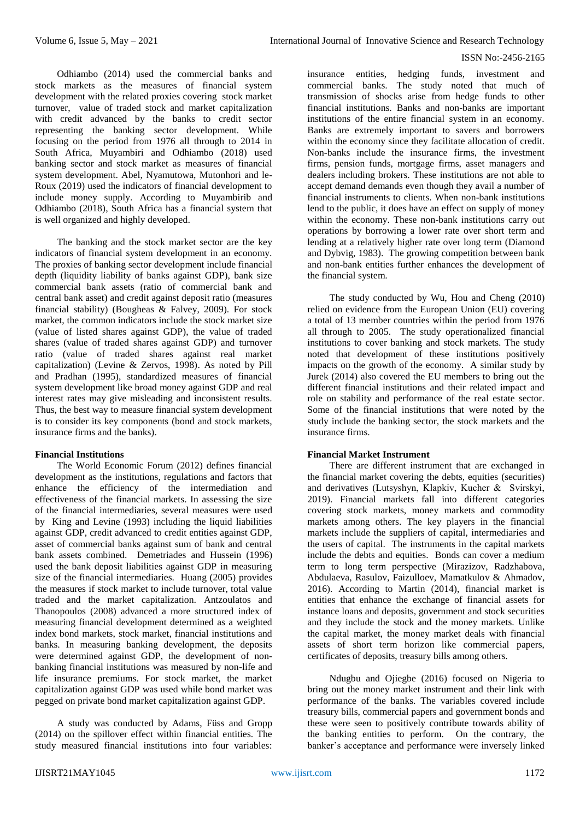Odhiambo (2014) used the commercial banks and stock markets as the measures of financial system development with the related proxies covering stock market turnover, value of traded stock and market capitalization with credit advanced by the banks to credit sector representing the banking sector development. While focusing on the period from 1976 all through to 2014 in South Africa, Muyambiri and Odhiambo (2018) used banking sector and stock market as measures of financial system development. Abel, Nyamutowa, Mutonhori and le-Roux (2019) used the indicators of financial development to include money supply. According to Muyambirib and Odhiambo (2018), South Africa has a financial system that is well organized and highly developed.

The banking and the stock market sector are the key indicators of financial system development in an economy. The proxies of banking sector development include financial depth (liquidity liability of banks against GDP), bank size commercial bank assets (ratio of commercial bank and central bank asset) and credit against deposit ratio (measures financial stability) (Bougheas & Falvey, 2009). For stock market, the common indicators include the stock market size (value of listed shares against GDP), the value of traded shares (value of traded shares against GDP) and turnover ratio (value of traded shares against real market capitalization) (Levine & Zervos, 1998). As noted by Pill and Pradhan (1995), standardized measures of financial system development like broad money against GDP and real interest rates may give misleading and inconsistent results. Thus, the best way to measure financial system development is to consider its key components (bond and stock markets, insurance firms and the banks).

# **Financial Institutions**

The World Economic Forum (2012) defines financial development as the institutions, regulations and factors that enhance the efficiency of the intermediation and effectiveness of the financial markets. In assessing the size of the financial intermediaries, several measures were used by King and Levine (1993) including the liquid liabilities against GDP, credit advanced to credit entities against GDP, asset of commercial banks against sum of bank and central bank assets combined. Demetriades and Hussein (1996) used the bank deposit liabilities against GDP in measuring size of the financial intermediaries. Huang (2005) provides the measures if stock market to include turnover, total value traded and the market capitalization. Antzoulatos and Thanopoulos (2008) advanced a more structured index of measuring financial development determined as a weighted index bond markets, stock market, financial institutions and banks. In measuring banking development, the deposits were determined against GDP, the development of nonbanking financial institutions was measured by non-life and life insurance premiums. For stock market, the market capitalization against GDP was used while bond market was pegged on private bond market capitalization against GDP.

A study was conducted by Adams, Füss and Gropp (2014) on the spillover effect within financial entities. The study measured financial institutions into four variables:

insurance entities, hedging funds, investment and commercial banks. The study noted that much of transmission of shocks arise from hedge funds to other financial institutions. Banks and non-banks are important institutions of the entire financial system in an economy. Banks are extremely important to savers and borrowers within the economy since they facilitate allocation of credit. Non-banks include the insurance firms, the investment firms, pension funds, mortgage firms, asset managers and dealers including brokers. These institutions are not able to accept demand demands even though they avail a number of financial instruments to clients. When non-bank institutions lend to the public, it does have an effect on supply of money within the economy. These non-bank institutions carry out operations by borrowing a lower rate over short term and lending at a relatively higher rate over long term (Diamond and Dybvig, 1983). The growing competition between bank and non-bank entities further enhances the development of the financial system.

The study conducted by Wu, Hou and Cheng (2010) relied on evidence from the European Union (EU) covering a total of 13 member countries within the period from 1976 all through to 2005. The study operationalized financial institutions to cover banking and stock markets. The study noted that development of these institutions positively impacts on the growth of the economy. A similar study by Jurek (2014) also covered the EU members to bring out the different financial institutions and their related impact and role on stability and performance of the real estate sector. Some of the financial institutions that were noted by the study include the banking sector, the stock markets and the insurance firms.

## **Financial Market Instrument**

There are different instrument that are exchanged in the financial market covering the debts, equities (securities) and derivatives (Lutsyshyn, Klapkiv, Kucher & Svirskyі, 2019). Financial markets fall into different categories covering stock markets, money markets and commodity markets among others. The key players in the financial markets include the suppliers of capital, intermediaries and the users of capital. The instruments in the capital markets include the debts and equities. Bonds can cover a medium term to long term perspective (Mirazizov, Radzhabova, Abdulaeva, Rasulov, Faizulloev, Mamatkulov & Ahmadov, 2016). According to Martin (2014), financial market is entities that enhance the exchange of financial assets for instance loans and deposits, government and stock securities and they include the stock and the money markets. Unlike the capital market, the money market deals with financial assets of short term horizon like commercial papers, certificates of deposits, treasury bills among others.

Ndugbu and Ojiegbe (2016) focused on Nigeria to bring out the money market instrument and their link with performance of the banks. The variables covered include treasury bills, commercial papers and government bonds and these were seen to positively contribute towards ability of the banking entities to perform. On the contrary, the banker's acceptance and performance were inversely linked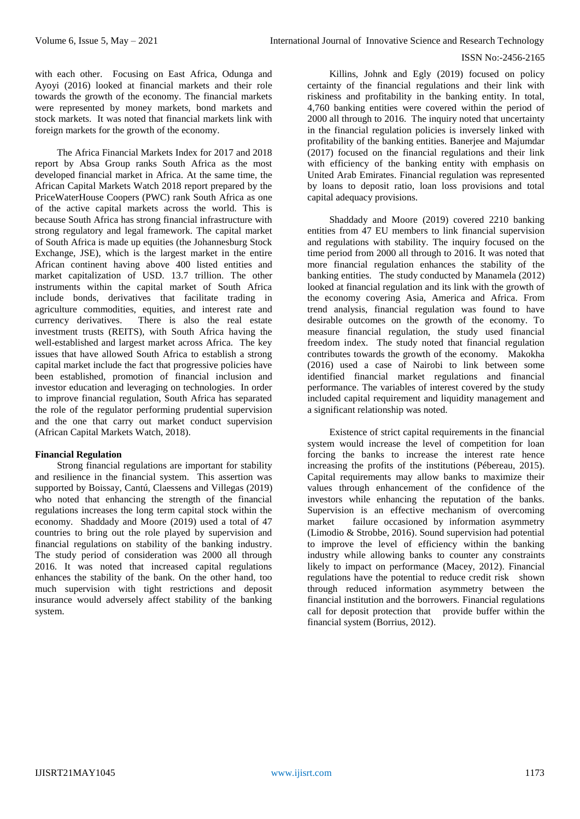with each other. Focusing on East Africa, Odunga and Ayoyi (2016) looked at financial markets and their role towards the growth of the economy. The financial markets were represented by money markets, bond markets and stock markets. It was noted that financial markets link with foreign markets for the growth of the economy.

The Africa Financial Markets Index for 2017 and 2018 report by Absa Group ranks South Africa as the most developed financial market in Africa. At the same time, the African Capital Markets Watch 2018 report prepared by the PriceWaterHouse Coopers (PWC) rank South Africa as one of the active capital markets across the world. This is because South Africa has strong financial infrastructure with strong regulatory and legal framework. The capital market of South Africa is made up equities (the Johannesburg Stock Exchange, JSE), which is the largest market in the entire African continent having above 400 listed entities and market capitalization of USD. 13.7 trillion. The other instruments within the capital market of South Africa include bonds, derivatives that facilitate trading in agriculture commodities, equities, and interest rate and currency derivatives. There is also the real estate investment trusts (REITS), with South Africa having the well-established and largest market across Africa. The key issues that have allowed South Africa to establish a strong capital market include the fact that progressive policies have been established, promotion of financial inclusion and investor education and leveraging on technologies. In order to improve financial regulation, South Africa has separated the role of the regulator performing prudential supervision and the one that carry out market conduct supervision (African Capital Markets Watch, 2018).

## **Financial Regulation**

Strong financial regulations are important for stability and resilience in the financial system. This assertion was supported by Boissay, Cantú, Claessens and Villegas (2019) who noted that enhancing the strength of the financial regulations increases the long term capital stock within the economy. Shaddady and Moore (2019) used a total of 47 countries to bring out the role played by supervision and financial regulations on stability of the banking industry. The study period of consideration was 2000 all through 2016. It was noted that increased capital regulations enhances the stability of the bank. On the other hand, too much supervision with tight restrictions and deposit insurance would adversely affect stability of the banking system.

Killins, Johnk and Egly (2019) focused on policy certainty of the financial regulations and their link with riskiness and profitability in the banking entity. In total, 4,760 banking entities were covered within the period of 2000 all through to 2016. The inquiry noted that uncertainty in the financial regulation policies is inversely linked with profitability of the banking entities. Banerjee and Majumdar (2017) focused on the financial regulations and their link with efficiency of the banking entity with emphasis on United Arab Emirates. Financial regulation was represented by loans to deposit ratio, loan loss provisions and total capital adequacy provisions.

Shaddady and Moore (2019) covered 2210 banking entities from 47 EU members to link financial supervision and regulations with stability. The inquiry focused on the time period from 2000 all through to 2016. It was noted that more financial regulation enhances the stability of the banking entities. The study conducted by Manamela (2012) looked at financial regulation and its link with the growth of the economy covering Asia, America and Africa. From trend analysis, financial regulation was found to have desirable outcomes on the growth of the economy. To measure financial regulation, the study used financial freedom index. The study noted that financial regulation contributes towards the growth of the economy. Makokha (2016) used a case of Nairobi to link between some identified financial market regulations and financial performance. The variables of interest covered by the study included capital requirement and liquidity management and a significant relationship was noted.

Existence of strict capital requirements in the financial system would increase the level of competition for loan forcing the banks to increase the interest rate hence increasing the profits of the institutions (Pébereau, 2015). Capital requirements may allow banks to maximize their values through enhancement of the confidence of the investors while enhancing the reputation of the banks. Supervision is an effective mechanism of overcoming market failure occasioned by information asymmetry (Limodio & Strobbe, 2016). Sound supervision had potential to improve the level of efficiency within the banking industry while allowing banks to counter any constraints likely to impact on performance (Macey, 2012). Financial regulations have the potential to reduce credit risk shown through reduced information asymmetry between the financial institution and the borrowers. Financial regulations call for deposit protection that provide buffer within the financial system (Borrius, 2012).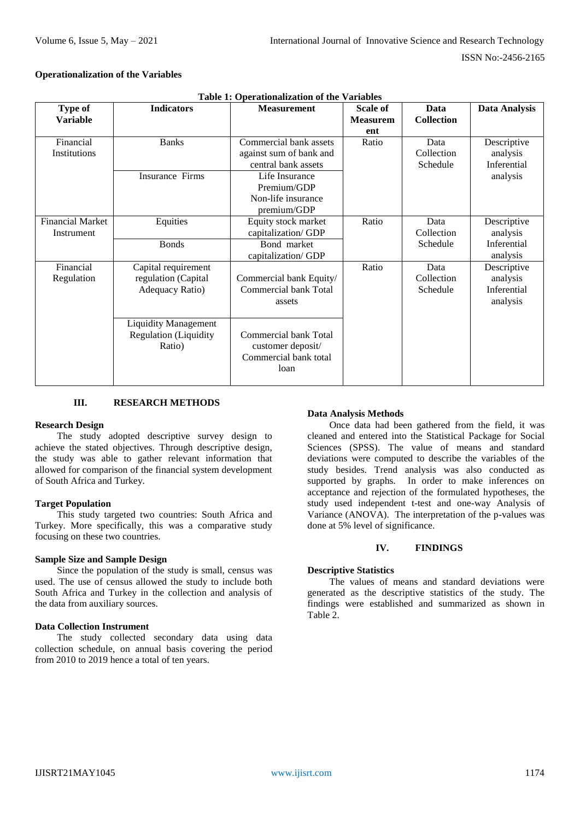## **Operationalization of the Variables**

|                         |                              | Table 1. Operationalization of the variables |                 |                   |               |
|-------------------------|------------------------------|----------------------------------------------|-----------------|-------------------|---------------|
| Type of                 | <b>Indicators</b>            | <b>Measurement</b>                           | <b>Scale of</b> | Data              | Data Analysis |
| <b>Variable</b>         |                              |                                              | <b>Measurem</b> | <b>Collection</b> |               |
|                         |                              |                                              | ent             |                   |               |
| Financial               | <b>Banks</b>                 | Commercial bank assets                       | Ratio           | Data              | Descriptive   |
| Institutions            |                              | against sum of bank and                      |                 | Collection        | analysis      |
|                         |                              | central bank assets                          |                 | Schedule          | Inferential   |
|                         | <b>Insurance Firms</b>       | Life Insurance                               |                 |                   | analysis      |
|                         |                              | Premium/GDP                                  |                 |                   |               |
|                         |                              | Non-life insurance                           |                 |                   |               |
|                         |                              | premium/GDP                                  |                 |                   |               |
| <b>Financial Market</b> | Equities                     | Equity stock market                          | Ratio           | Data              | Descriptive   |
| Instrument              |                              | capitalization/GDP                           |                 | Collection        | analysis      |
|                         | <b>Bonds</b>                 | Bond market                                  |                 | Schedule          | Inferential   |
|                         |                              | capitalization/GDP                           |                 |                   | analysis      |
| Financial               | Capital requirement          |                                              | Ratio           | Data              | Descriptive   |
| Regulation              | regulation (Capital          | Commercial bank Equity/                      |                 | Collection        | analysis      |
|                         |                              | Commercial bank Total                        |                 | Schedule          | Inferential   |
|                         | Adequacy Ratio)              |                                              |                 |                   |               |
|                         |                              | assets                                       |                 |                   | analysis      |
|                         |                              |                                              |                 |                   |               |
|                         | <b>Liquidity Management</b>  |                                              |                 |                   |               |
|                         | <b>Regulation</b> (Liquidity | Commercial bank Total                        |                 |                   |               |
|                         | Ratio)                       | customer deposit/                            |                 |                   |               |
|                         |                              | Commercial bank total                        |                 |                   |               |
|                         |                              | loan                                         |                 |                   |               |
|                         |                              |                                              |                 |                   |               |

**Table 1: Operationalization of the Variables**

## **III. RESEARCH METHODS**

#### **Research Design**

The study adopted descriptive survey design to achieve the stated objectives. Through descriptive design, the study was able to gather relevant information that allowed for comparison of the financial system development of South Africa and Turkey.

## **Target Population**

This study targeted two countries: South Africa and Turkey. More specifically, this was a comparative study focusing on these two countries.

#### **Sample Size and Sample Design**

Since the population of the study is small, census was used. The use of census allowed the study to include both South Africa and Turkey in the collection and analysis of the data from auxiliary sources.

#### **Data Collection Instrument**

The study collected secondary data using data collection schedule, on annual basis covering the period from 2010 to 2019 hence a total of ten years.

## **Data Analysis Methods**

Once data had been gathered from the field, it was cleaned and entered into the Statistical Package for Social Sciences (SPSS). The value of means and standard deviations were computed to describe the variables of the study besides. Trend analysis was also conducted as supported by graphs. In order to make inferences on acceptance and rejection of the formulated hypotheses, the study used independent t-test and one-way Analysis of Variance (ANOVA). The interpretation of the p-values was done at 5% level of significance.

#### **IV. FINDINGS**

#### **Descriptive Statistics**

The values of means and standard deviations were generated as the descriptive statistics of the study. The findings were established and summarized as shown in Table 2.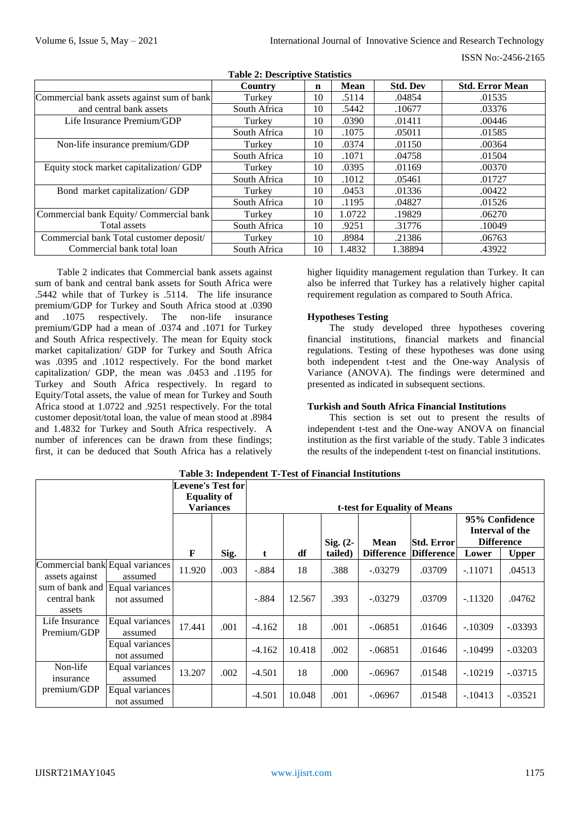|                                            | Country      | $\mathbf n$ | <b>Mean</b> | <b>Std. Dev</b> | <b>Std. Error Mean</b> |
|--------------------------------------------|--------------|-------------|-------------|-----------------|------------------------|
| Commercial bank assets against sum of bank | Turkey       | 10          | .5114       | .04854          | .01535                 |
| and central bank assets                    | South Africa | 10          | .5442       | .10677          | .03376                 |
| Life Insurance Premium/GDP                 | Turkey       | 10          | .0390       | .01411          | .00446                 |
|                                            | South Africa | 10          | .1075       | .05011          | .01585                 |
| Non-life insurance premium/GDP             | Turkey       | 10          | .0374       | .01150          | .00364                 |
|                                            | South Africa | 10          | .1071       | .04758          | .01504                 |
| Equity stock market capitalization/ GDP    | Turkey       | 10          | .0395       | .01169          | .00370                 |
|                                            | South Africa | 10          | .1012       | .05461          | .01727                 |
| Bond market capitalization/ GDP            | Turkey       | 10          | .0453       | .01336          | .00422                 |
|                                            | South Africa | 10          | .1195       | .04827          | .01526                 |
| Commercial bank Equity/ Commercial bank    | Turkey       | 10          | 1.0722      | .19829          | .06270                 |
| Total assets                               | South Africa | 10          | .9251       | .31776          | .10049                 |
| Commercial bank Total customer deposit/    | Turkey       | 10          | .8984       | .21386          | .06763                 |
| Commercial bank total loan                 | South Africa | 10          | 1.4832      | 1.38894         | .43922                 |

**Table 2: Descriptive Statistics**

Table 2 indicates that Commercial bank assets against sum of bank and central bank assets for South Africa were .5442 while that of Turkey is .5114. The life insurance premium/GDP for Turkey and South Africa stood at .0390 and .1075 respectively. The non-life insurance premium/GDP had a mean of .0374 and .1071 for Turkey and South Africa respectively. The mean for Equity stock market capitalization/ GDP for Turkey and South Africa was .0395 and .1012 respectively. For the bond market capitalization/ GDP, the mean was .0453 and .1195 for Turkey and South Africa respectively. In regard to Equity/Total assets, the value of mean for Turkey and South Africa stood at 1.0722 and .9251 respectively. For the total customer deposit/total loan, the value of mean stood at .8984 and 1.4832 for Turkey and South Africa respectively. A number of inferences can be drawn from these findings; first, it can be deduced that South Africa has a relatively

higher liquidity management regulation than Turkey. It can also be inferred that Turkey has a relatively higher capital requirement regulation as compared to South Africa.

# **Hypotheses Testing**

The study developed three hypotheses covering financial institutions, financial markets and financial regulations. Testing of these hypotheses was done using both independent t-test and the One-way Analysis of Variance (ANOVA). The findings were determined and presented as indicated in subsequent sections.

# **Turkish and South Africa Financial Institutions**

This section is set out to present the results of independent t-test and the One-way ANOVA on financial institution as the first variable of the study. Table 3 indicates the results of the independent t-test on financial institutions.

|                                                           |                                | <b>Levene's Test for</b><br><b>Equality of</b><br><b>Variances</b> |      |          |        |            | t-test for Equality of Means |                   |           |                                                        |
|-----------------------------------------------------------|--------------------------------|--------------------------------------------------------------------|------|----------|--------|------------|------------------------------|-------------------|-----------|--------------------------------------------------------|
|                                                           |                                |                                                                    |      |          |        | Sig. $(2-$ | <b>Mean</b>                  | Std. Error        |           | 95% Confidence<br>Interval of the<br><b>Difference</b> |
|                                                           |                                | F                                                                  | Sig. | t        | df     | tailed)    | <b>Difference</b>            | <b>Difference</b> | Lower     | <b>Upper</b>                                           |
| Commercial bank Equal variances<br>assets against         | assumed                        | 11.920                                                             | .003 | $-.884$  | 18     | .388       | $-.03279$                    | .03709            | $-.11071$ | .04513                                                 |
| sum of bank and Equal variances<br>central bank<br>assets | not assumed                    |                                                                    |      | $-.884$  | 12.567 | .393       | $-.03279$                    | .03709            | $-.11320$ | .04762                                                 |
| Life Insurance<br>Premium/GDP                             | Equal variances<br>assumed     | 17.441                                                             | .001 | $-4.162$ | 18     | .001       | $-.06851$                    | .01646            | $-.10309$ | $-.03393$                                              |
|                                                           | Equal variances<br>not assumed |                                                                    |      | $-4.162$ | 10.418 | .002       | $-.06851$                    | .01646            | $-.10499$ | $-.03203$                                              |
| Non-life<br>insurance                                     | Equal variances<br>assumed     | 13.207                                                             | .002 | $-4.501$ | 18     | .000       | $-.06967$                    | .01548            | $-.10219$ | $-.03715$                                              |
| premium/GDP                                               | Equal variances<br>not assumed |                                                                    |      | $-4.501$ | 10.048 | .001       | $-.06967$                    | .01548            | $-.10413$ | $-.03521$                                              |

**Table 3: Independent T-Test of Financial Institutions**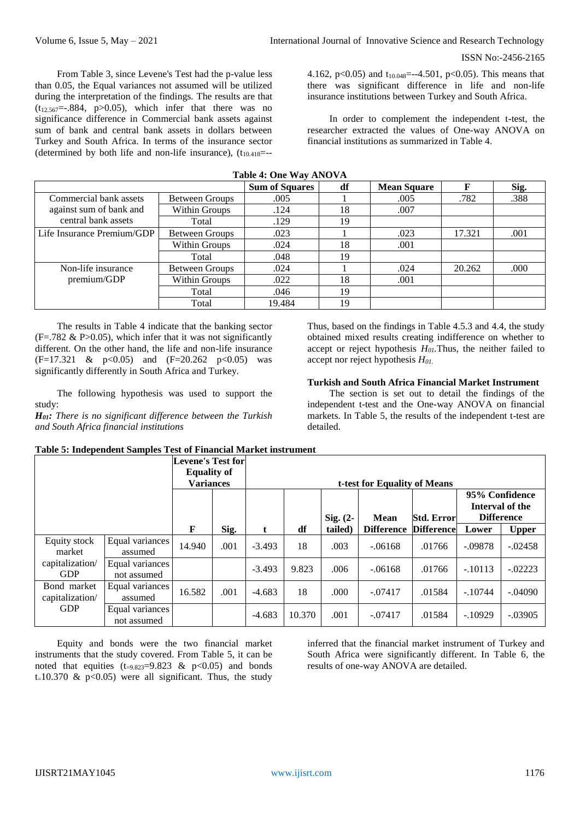From Table 3, since Levene's Test had the p-value less than 0.05, the Equal variances not assumed will be utilized during the interpretation of the findings. The results are that  $(t_{12.567}=-.884, p>0.05)$ , which infer that there was no significance difference in Commercial bank assets against sum of bank and central bank assets in dollars between Turkey and South Africa. In terms of the insurance sector (determined by both life and non-life insurance),  $(t_{10.418}=-$ 

4.162, p<0.05) and  $t_{10.048}$ =--4.501, p<0.05). This means that there was significant difference in life and non-life insurance institutions between Turkey and South Africa.

In order to complement the independent t-test, the researcher extracted the values of One-way ANOVA on financial institutions as summarized in Table 4.

|                            |                       | <b>Sum of Squares</b> | df | <b>Mean Square</b> | F      | Sig. |
|----------------------------|-----------------------|-----------------------|----|--------------------|--------|------|
| Commercial bank assets     | Between Groups        | .005                  |    | .005               | .782   | .388 |
| against sum of bank and    | Within Groups         | .124                  | 18 | .007               |        |      |
| central bank assets        | Total                 | .129                  | 19 |                    |        |      |
| Life Insurance Premium/GDP | <b>Between Groups</b> | .023                  |    | .023               | 17.321 | .001 |
|                            | Within Groups         | .024                  | 18 | .001               |        |      |
|                            | Total                 | .048                  | 19 |                    |        |      |
| Non-life insurance         | <b>Between Groups</b> | .024                  |    | .024               | 20.262 | .000 |
| premium/GDP                | Within Groups         | .022                  | 18 | .001               |        |      |
|                            | Total                 | .046                  | 19 |                    |        |      |
|                            | Total                 | 19.484                | 19 |                    |        |      |

**Table 4: One Way ANOVA**

The results in Table 4 indicate that the banking sector  $(F=.782 \& P>0.05)$ , which infer that it was not significantly different. On the other hand, the life and non-life insurance  $(F=17.321 \& p<0.05)$  and  $(F=20.262 \& p<0.05)$  was significantly differently in South Africa and Turkey.

The following hypothesis was used to support the study:

*H01: There is no significant difference between the Turkish and South Africa financial institutions*

Thus, based on the findings in Table 4.5.3 and 4.4, the study obtained mixed results creating indifference on whether to accept or reject hypothesis  $H_{0I}$ . Thus, the neither failed to accept nor reject hypothesis *H01*.

## **Turkish and South Africa Financial Market Instrument**

The section is set out to detail the findings of the independent t-test and the One-way ANOVA on financial markets. In Table 5, the results of the independent t-test are detailed.

|  | Table 5: Independent Samples Test of Financial Market instrument |
|--|------------------------------------------------------------------|
|--|------------------------------------------------------------------|

|                                                         |                                | <b>Levene's Test for</b><br><b>Equality of</b><br><b>Variances</b> |      | t-test for Equality of Means |        |            |                   |                   |                   |                                   |  |
|---------------------------------------------------------|--------------------------------|--------------------------------------------------------------------|------|------------------------------|--------|------------|-------------------|-------------------|-------------------|-----------------------------------|--|
|                                                         |                                |                                                                    |      |                              |        | Sig. $(2-$ | Mean              | <b>Std. Error</b> | <b>Difference</b> | 95% Confidence<br>Interval of the |  |
|                                                         |                                | F                                                                  | Sig. | t                            | df     | tailed)    | <b>Difference</b> | <b>Difference</b> | Lower             | <b>Upper</b>                      |  |
| Equity stock<br>market<br>capitalization/<br><b>GDP</b> | Equal variances<br>assumed     | 14.940                                                             | .001 | $-3.493$                     | 18     | .003       | $-.06168$         | .01766            | $-.09878$         | $-.02458$                         |  |
|                                                         | Equal variances<br>not assumed |                                                                    |      | $-3.493$                     | 9.823  | .006       | $-.06168$         | .01766            | $-.10113$         | $-.02223$                         |  |
| Bond market<br>capitalization/                          | Equal variances<br>assumed     | 16.582                                                             | .001 | $-4.683$                     | 18     | .000       | $-.07417$         | .01584            | $-.10744$         | $-.04090$                         |  |
| <b>GDP</b>                                              | Equal variances<br>not assumed |                                                                    |      | $-4.683$                     | 10.370 | .001       | $-.07417$         | .01584            | $-.10929$         | $-.03905$                         |  |

Equity and bonds were the two financial market instruments that the study covered. From Table 5, it can be noted that equities  $(t_{=9.823}=9.823 \& p<0.05)$  and bonds t-10.370  $\&$  p<0.05) were all significant. Thus, the study

inferred that the financial market instrument of Turkey and South Africa were significantly different. In Table 6, the results of one-way ANOVA are detailed.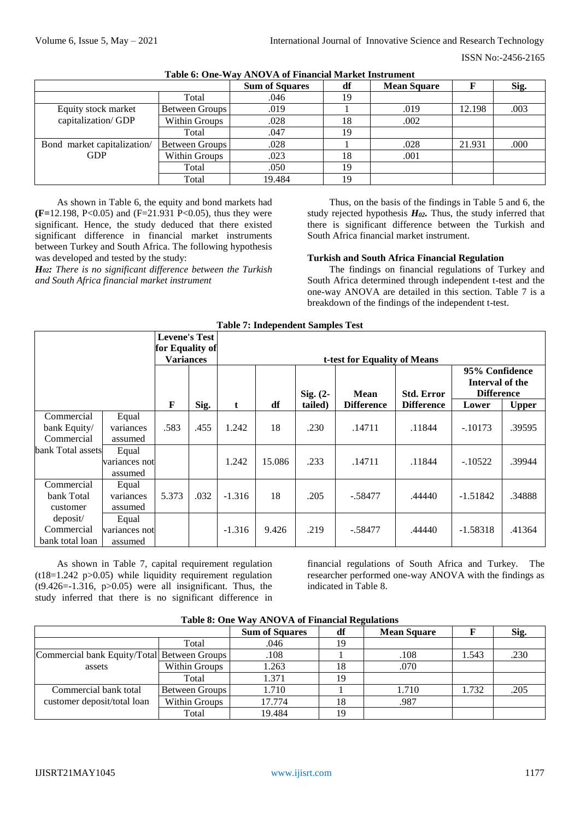|                             |                | <b>Sum of Squares</b> | df | <b>Mean Square</b> |        | Sig. |
|-----------------------------|----------------|-----------------------|----|--------------------|--------|------|
|                             | Total          | .046                  | 19 |                    |        |      |
| Equity stock market         | Between Groups | .019                  |    | .019               | 12.198 | .003 |
| capitalization/GDP          | Within Groups  | .028                  | 18 | .002               |        |      |
|                             | Total          | .047                  | 19 |                    |        |      |
| Bond market capitalization/ | Between Groups | .028                  |    | .028               | 21.931 | .000 |
| <b>GDP</b>                  | Within Groups  | .023                  | 18 | .001               |        |      |
|                             | Total          | .050                  | 19 |                    |        |      |
|                             | Total          | 19.484                | 19 |                    |        |      |

**Table 6: One-Way ANOVA of Financial Market Instrument**

As shown in Table 6, the equity and bond markets had **(F=**12.198, P<0.05) and (F=21.931 P<0.05), thus they were significant. Hence, the study deduced that there existed significant difference in financial market instruments between Turkey and South Africa. The following hypothesis was developed and tested by the study:

*H02: There is no significant difference between the Turkish and South Africa financial market instrument*

Thus, on the basis of the findings in Table 5 and 6, the study rejected hypothesis *H02.* Thus, the study inferred that there is significant difference between the Turkish and South Africa financial market instrument.

## **Turkish and South Africa Financial Regulation**

The findings on financial regulations of Turkey and South Africa determined through independent t-test and the one-way ANOVA are detailed in this section. Table 7 is a breakdown of the findings of the independent t-test.

| <b>Table 7: Independent Samples Test</b> |                 |                  |      |            |             |                   |                                                        |                   |            |              |
|------------------------------------------|-----------------|------------------|------|------------|-------------|-------------------|--------------------------------------------------------|-------------------|------------|--------------|
|                                          | for Equality of |                  |      |            |             |                   |                                                        |                   |            |              |
|                                          |                 | <b>Variances</b> |      |            |             |                   | t-test for Equality of Means                           |                   |            |              |
|                                          |                 |                  |      | Sig. $(2-$ | <b>Mean</b> | <b>Std. Error</b> | 95% Confidence<br>Interval of the<br><b>Difference</b> |                   |            |              |
|                                          |                 | F                | Sig. | t          | df          | tailed)           | <b>Difference</b>                                      | <b>Difference</b> | Lower      | <b>Upper</b> |
| Commercial                               | Equal           |                  |      |            |             |                   |                                                        |                   |            |              |
| bank Equity/                             | variances       | .583             | .455 | 1.242      | 18          | .230              | .14711                                                 | .11844            | $-.10173$  | .39595       |
| Commercial                               | assumed         |                  |      |            |             |                   |                                                        |                   |            |              |
| bank Total assets                        | Equal           |                  |      |            |             |                   |                                                        |                   |            |              |
|                                          | variances not   |                  |      | 1.242      | 15.086      | .233              | .14711                                                 | .11844            | $-.10522$  | .39944       |
|                                          | assumed         |                  |      |            |             |                   |                                                        |                   |            |              |
| Commercial                               | Equal           |                  |      |            |             |                   |                                                        |                   |            |              |
| bank Total                               | variances       | 5.373            | .032 | $-1.316$   | 18          | .205              | $-.58477$                                              | .44440            | $-1.51842$ | .34888       |
| customer                                 | assumed         |                  |      |            |             |                   |                                                        |                   |            |              |
| deposit/                                 | Equal           |                  |      |            |             |                   |                                                        |                   |            |              |
| Commercial                               | variances not   |                  |      | $-1.316$   | 9.426       | .219              | $-0.58477$                                             | .44440            | $-1.58318$ | .41364       |
| bank total loan                          | assumed         |                  |      |            |             |                   |                                                        |                   |            |              |

As shown in Table 7, capital requirement regulation  $(t18=1.242 \text{ p}>0.05)$  while liquidity requirement regulation  $(t9.426=1.316, p>0.05)$  were all insignificant. Thus, the study inferred that there is no significant difference in financial regulations of South Africa and Turkey. The researcher performed one-way ANOVA with the findings as indicated in Table 8.

| Table of One Way Trivo VIA of Financial Inegulations |                |                       |    |                    |       |      |  |  |  |  |  |
|------------------------------------------------------|----------------|-----------------------|----|--------------------|-------|------|--|--|--|--|--|
|                                                      |                | <b>Sum of Squares</b> | df | <b>Mean Square</b> |       | Sig. |  |  |  |  |  |
|                                                      | Total          | .046                  |    |                    |       |      |  |  |  |  |  |
| Commercial bank Equity/Total Between Groups          |                | .108                  |    | .108               | 1.543 | .230 |  |  |  |  |  |
| assets                                               | Within Groups  | 1.263                 | 18 | .070               |       |      |  |  |  |  |  |
|                                                      | Total          | 1.371                 | 19 |                    |       |      |  |  |  |  |  |
| Commercial bank total                                | Between Groups | 1.710                 |    | 1.710              | 1.732 | .205 |  |  |  |  |  |
| customer deposit/total loan                          | Within Groups  | 17.774                | 18 | .987               |       |      |  |  |  |  |  |
|                                                      | Total          | 19.484                | 19 |                    |       |      |  |  |  |  |  |

## **Table 8: One Way ANOVA of Financial Regulations**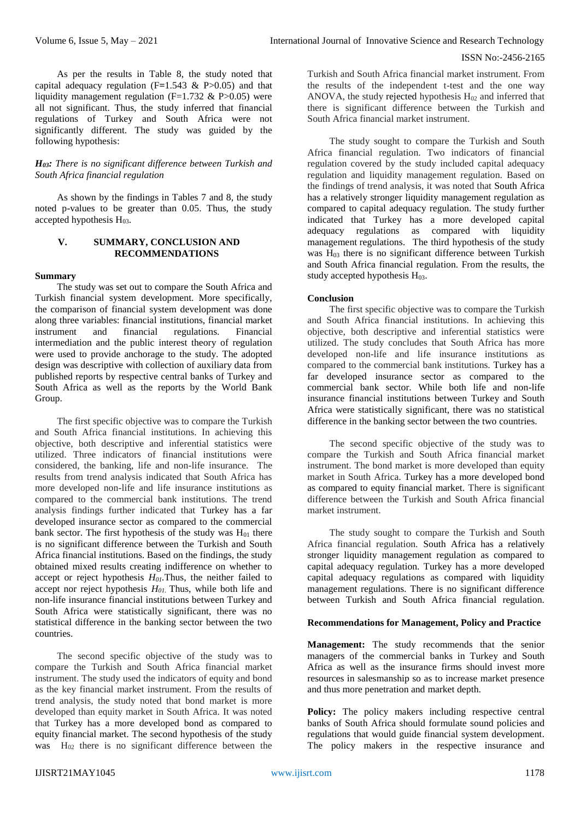As per the results in Table 8, the study noted that capital adequacy regulation (F**=**1.543 & P>0.05) and that liquidity management regulation (F=1.732  $\&$  P>0.05) were all not significant. Thus, the study inferred that financial regulations of Turkey and South Africa were not significantly different. The study was guided by the following hypothesis:

#### *H03: There is no significant difference between Turkish and South Africa financial regulation*

As shown by the findings in Tables 7 and 8, the study noted p-values to be greater than 0.05. Thus, the study accepted hypothesis  $H_{03}$ .

## **V. SUMMARY, CONCLUSION AND RECOMMENDATIONS**

## **Summary**

The study was set out to compare the South Africa and Turkish financial system development. More specifically, the comparison of financial system development was done along three variables: financial institutions, financial market instrument and financial regulations. Financial intermediation and the public interest theory of regulation were used to provide anchorage to the study. The adopted design was descriptive with collection of auxiliary data from published reports by respective central banks of Turkey and South Africa as well as the reports by the World Bank Group.

The first specific objective was to compare the Turkish and South Africa financial institutions. In achieving this objective, both descriptive and inferential statistics were utilized. Three indicators of financial institutions were considered, the banking, life and non-life insurance. The results from trend analysis indicated that South Africa has more developed non-life and life insurance institutions as compared to the commercial bank institutions. The trend analysis findings further indicated that Turkey has a far developed insurance sector as compared to the commercial bank sector. The first hypothesis of the study was  $H<sub>01</sub>$  there is no significant difference between the Turkish and South Africa financial institutions. Based on the findings, the study obtained mixed results creating indifference on whether to accept or reject hypothesis *H01.*Thus, the neither failed to accept nor reject hypothesis *H01*. Thus, while both life and non-life insurance financial institutions between Turkey and South Africa were statistically significant, there was no statistical difference in the banking sector between the two countries.

The second specific objective of the study was to compare the Turkish and South Africa financial market instrument. The study used the indicators of equity and bond as the key financial market instrument. From the results of trend analysis, the study noted that bond market is more developed than equity market in South Africa. It was noted that Turkey has a more developed bond as compared to equity financial market. The second hypothesis of the study was  $H_{02}$  there is no significant difference between the

Turkish and South Africa financial market instrument. From the results of the independent t-test and the one way ANOVA, the study rejected hypothesis  $H<sub>02</sub>$  and inferred that there is significant difference between the Turkish and South Africa financial market instrument.

The study sought to compare the Turkish and South Africa financial regulation. Two indicators of financial regulation covered by the study included capital adequacy regulation and liquidity management regulation. Based on the findings of trend analysis, it was noted that South Africa has a relatively stronger liquidity management regulation as compared to capital adequacy regulation. The study further indicated that Turkey has a more developed capital adequacy regulations as compared with liquidity management regulations. The third hypothesis of the study was  $H_{03}$  there is no significant difference between Turkish and South Africa financial regulation. From the results, the study accepted hypothesis  $H_{03}$ .

## **Conclusion**

The first specific objective was to compare the Turkish and South Africa financial institutions. In achieving this objective, both descriptive and inferential statistics were utilized. The study concludes that South Africa has more developed non-life and life insurance institutions as compared to the commercial bank institutions. Turkey has a far developed insurance sector as compared to the commercial bank sector. While both life and non-life insurance financial institutions between Turkey and South Africa were statistically significant, there was no statistical difference in the banking sector between the two countries.

The second specific objective of the study was to compare the Turkish and South Africa financial market instrument. The bond market is more developed than equity market in South Africa. Turkey has a more developed bond as compared to equity financial market. There is significant difference between the Turkish and South Africa financial market instrument.

The study sought to compare the Turkish and South Africa financial regulation. South Africa has a relatively stronger liquidity management regulation as compared to capital adequacy regulation. Turkey has a more developed capital adequacy regulations as compared with liquidity management regulations. There is no significant difference between Turkish and South Africa financial regulation.

#### **Recommendations for Management, Policy and Practice**

**Management:** The study recommends that the senior managers of the commercial banks in Turkey and South Africa as well as the insurance firms should invest more resources in salesmanship so as to increase market presence and thus more penetration and market depth.

Policy: The policy makers including respective central banks of South Africa should formulate sound policies and regulations that would guide financial system development. The policy makers in the respective insurance and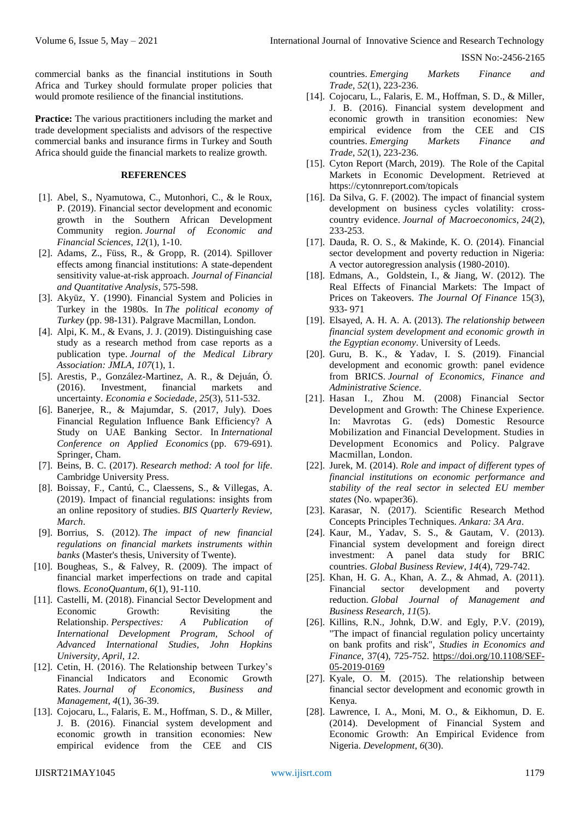commercial banks as the financial institutions in South Africa and Turkey should formulate proper policies that would promote resilience of the financial institutions.

**Practice:** The various practitioners including the market and trade development specialists and advisors of the respective commercial banks and insurance firms in Turkey and South Africa should guide the financial markets to realize growth.

## **REFERENCES**

- [1]. Abel, S., Nyamutowa, C., Mutonhori, C., & le Roux, P. (2019). Financial sector development and economic growth in the Southern African Development Community region. *Journal of Economic and Financial Sciences*, *12*(1), 1-10.
- [2]. Adams, Z., Füss, R., & Gropp, R. (2014). Spillover effects among financial institutions: A state-dependent sensitivity value-at-risk approach. *Journal of Financial and Quantitative Analysis*, 575-598.
- [3]. Akyüz, Y. (1990). Financial System and Policies in Turkey in the 1980s. In *The political economy of Turkey* (pp. 98-131). Palgrave Macmillan, London.
- [4]. Alpi, K. M., & Evans, J. J. (2019). Distinguishing case study as a research method from case reports as a publication type. *Journal of the Medical Library Association: JMLA*, *107*(1), 1.
- [5]. Arestis, P., González-Martinez, A. R., & Dejuán, Ó. (2016). Investment, financial markets and uncertainty. *Economia e Sociedade*, *25*(3), 511-532.
- [6]. Banerjee, R., & Majumdar, S. (2017, July). Does Financial Regulation Influence Bank Efficiency? A Study on UAE Banking Sector. In *International Conference on Applied Economics* (pp. 679-691). Springer, Cham.
- [7]. Beins, B. C. (2017). *Research method: A tool for life*. Cambridge University Press.
- [8]. Boissay, F., Cantú, C., Claessens, S., & Villegas, A. (2019). Impact of financial regulations: insights from an online repository of studies. *BIS Quarterly Review, March*.
- [9]. Borrius, S. (2012). *The impact of new financial regulations on financial markets instruments within banks* (Master's thesis, University of Twente).
- [10]. Bougheas, S., & Falvey, R. (2009). The impact of financial market imperfections on trade and capital flows. *EconoQuantum*, *6*(1), 91-110.
- [11]. Castelli, M. (2018). Financial Sector Development and Economic Growth: Revisiting the Relationship. *Perspectives: A Publication of International Development Program, School of Advanced International Studies, John Hopkins University, April*, *12*.
- [12]. Cetin, H. (2016). The Relationship between Turkey's Financial Indicators and Economic Growth Rates. *Journal of Economics, Business and Management*, *4*(1), 36-39.
- [13]. Cojocaru, L., Falaris, E. M., Hoffman, S. D., & Miller, J. B. (2016). Financial system development and economic growth in transition economies: New empirical evidence from the CEE and CIS

countries. *Emerging Markets Finance and Trade*, *52*(1), 223-236.

- [14]. Cojocaru, L., Falaris, E. M., Hoffman, S. D., & Miller, J. B. (2016). Financial system development and economic growth in transition economies: New empirical evidence from the CEE and CIS countries. *Emerging Markets Finance and Trade*, *52*(1), 223-236.
- [15]. Cyton Report (March, 2019). The Role of the Capital Markets in Economic Development. Retrieved at https://cytonnreport.com/topicals
- [16]. Da Silva, G. F. (2002). The impact of financial system development on business cycles volatility: crosscountry evidence. *Journal of Macroeconomics*, *24*(2), 233-253.
- [17]. Dauda, R. O. S., & Makinde, K. O. (2014). Financial sector development and poverty reduction in Nigeria: A vector autoregression analysis (1980-2010).
- [18]. Edmans, A., Goldstein, I., & Jiang, W. (2012). The Real Effects of Financial Markets: The Impact of Prices on Takeovers. *The Journal Of Finance* 15(3), 933- 971
- [19]. Elsayed, A. H. A. A. (2013). *The relationship between financial system development and economic growth in the Egyptian economy*. University of Leeds.
- [20]. Guru, B. K., & Yadav, I. S. (2019). Financial development and economic growth: panel evidence from BRICS. *Journal of Economics, Finance and Administrative Science*.
- [21]. Hasan I., Zhou M. (2008) Financial Sector Development and Growth: The Chinese Experience. In: Mavrotas G. (eds) Domestic Resource Mobilization and Financial Development. Studies in Development Economics and Policy. Palgrave Macmillan, London.
- [22]. Jurek, M. (2014). *Role and impact of different types of financial institutions on economic performance and stability of the real sector in selected EU member states* (No. wpaper36).
- [23]. Karasar, N. (2017). Scientific Research Method Concepts Principles Techniques. *Ankara: 3A Ara*.
- [24]. Kaur, M., Yadav, S. S., & Gautam, V. (2013). Financial system development and foreign direct investment: A panel data study for BRIC countries. *Global Business Review*, *14*(4), 729-742.
- [25]. Khan, H. G. A., Khan, A. Z., & Ahmad, A. (2011). Financial sector development and poverty reduction. *Global Journal of Management and Business Research*, *11*(5).
- [26]. Killins, R.N., Johnk, D.W. and Egly, P.V. (2019), "The impact of financial regulation policy uncertainty on bank profits and risk", *Studies in Economics and Finance*, 37(4), 725-752. [https://doi.org/10.1108/SEF-](https://doi.org/10.1108/SEF-05-2019-0169)[05-2019-0169](https://doi.org/10.1108/SEF-05-2019-0169)
- [27]. Kyale, O. M. (2015). The relationship between financial sector development and economic growth in Kenya.
- [28]. Lawrence, I. A., Moni, M. O., & Eikhomun, D. E. (2014). Development of Financial System and Economic Growth: An Empirical Evidence from Nigeria. *Development*, *6*(30).